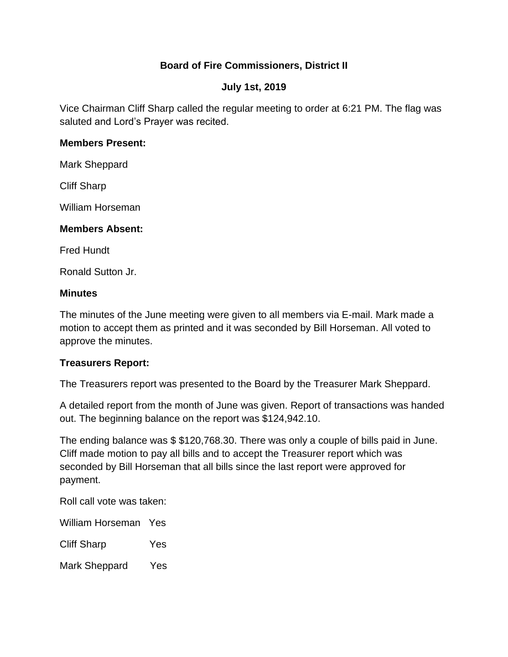# **Board of Fire Commissioners, District II**

#### **July 1st, 2019**

Vice Chairman Cliff Sharp called the regular meeting to order at 6:21 PM. The flag was saluted and Lord's Prayer was recited.

#### **Members Present:**

Mark Sheppard

Cliff Sharp

William Horseman

#### **Members Absent:**

Fred Hundt

Ronald Sutton Jr.

#### **Minutes**

The minutes of the June meeting were given to all members via E-mail. Mark made a motion to accept them as printed and it was seconded by Bill Horseman. All voted to approve the minutes.

## **Treasurers Report:**

The Treasurers report was presented to the Board by the Treasurer Mark Sheppard.

A detailed report from the month of June was given. Report of transactions was handed out. The beginning balance on the report was \$124,942.10.

The ending balance was \$ \$120,768.30. There was only a couple of bills paid in June. Cliff made motion to pay all bills and to accept the Treasurer report which was seconded by Bill Horseman that all bills since the last report were approved for payment.

Roll call vote was taken:

William Horseman Yes

Cliff Sharp Yes

Mark Sheppard Yes